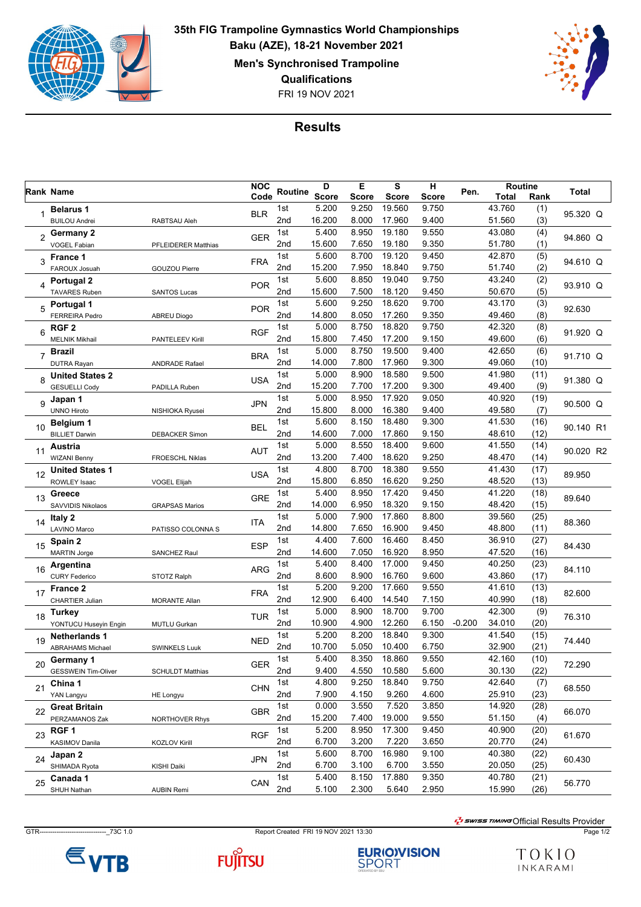

FRI 19 NOV 2021 **35th FIG Trampoline Gymnastics World Championships Baku (AZE), 18-21 November 2021 Men's Synchronised Trampoline Qualifications**



## **Results**

|                     | Rank Name                  |                            |            | Routine | D            | Е            | S            | н            | Pen.     | Routine |      | Total     |
|---------------------|----------------------------|----------------------------|------------|---------|--------------|--------------|--------------|--------------|----------|---------|------|-----------|
|                     |                            |                            | Code       |         | <b>Score</b> | <b>Score</b> | <b>Score</b> | <b>Score</b> |          | Total   | Rank |           |
|                     | <b>Belarus 1</b>           |                            | <b>BLR</b> | 1st     | 5.200        | 9.250        | 19.560       | 9.750        |          | 43.760  | (1)  | 95.320 Q  |
|                     | <b>BUILOU Andrei</b>       | RABTSAU Aleh               |            | 2nd     | 16.200       | 8.000        | 17.960       | 9.400        |          | 51.560  | (3)  |           |
| $\overline{2}$      | Germany 2                  |                            | <b>GER</b> | 1st     | 5.400        | 8.950        | 19.180       | 9.550        |          | 43.080  | (4)  | 94.860 Q  |
|                     | <b>VOGEL Fabian</b>        | <b>PFLEIDERER Matthias</b> |            | 2nd     | 15.600       | 7.650        | 19.180       | 9.350        |          | 51.780  | (1)  |           |
| 3                   | France 1                   |                            | <b>FRA</b> | 1st     | 5.600        | 8.700        | 19.120       | 9.450        |          | 42.870  | (5)  | 94.610 Q  |
|                     | FAROUX Josuah              | <b>GOUZOU Pierre</b>       |            | 2nd     | 15.200       | 7.950        | 18.840       | 9.750        |          | 51.740  | (2)  |           |
| 4                   | <b>Portugal 2</b>          |                            | <b>POR</b> | 1st     | 5.600        | 8.850        | 19.040       | 9.750        |          | 43.240  | (2)  | 93.910 Q  |
|                     | <b>TAVARES Ruben</b>       | <b>SANTOS Lucas</b>        |            | 2nd     | 15.600       | 7.500        | 18.120       | 9.450        |          | 50.670  | (5)  |           |
| 5                   | Portugal 1                 |                            | <b>POR</b> | 1st     | 5.600        | 9.250        | 18.620       | 9.700        |          | 43.170  | (3)  | 92.630    |
|                     | <b>FERREIRA Pedro</b>      | <b>ABREU Diogo</b>         |            | 2nd     | 14.800       | 8.050        | 17.260       | 9.350        |          | 49.460  | (8)  |           |
| 6<br>$\overline{7}$ | RGF 2                      |                            | <b>RGF</b> | 1st     | 5.000        | 8.750        | 18.820       | 9.750        |          | 42.320  | (8)  | 91.920 Q  |
|                     | <b>MELNIK Mikhail</b>      | <b>PANTELEEV Kirill</b>    |            | 2nd     | 15.800       | 7.450        | 17.200       | 9.150        |          | 49.600  | (6)  |           |
|                     | <b>Brazil</b>              |                            | <b>BRA</b> | 1st     | 5.000        | 8.750        | 19.500       | 9.400        |          | 42.650  | (6)  | 91.710 Q  |
|                     | <b>DUTRA Rayan</b>         | <b>ANDRADE Rafael</b>      |            | 2nd     | 14.000       | 7.800        | 17.960       | 9.300        |          | 49.060  | (10) |           |
| 8                   | <b>United States 2</b>     |                            | <b>USA</b> | 1st     | 5.000        | 8.900        | 18.580       | 9.500        |          | 41.980  | (11) | 91.380 Q  |
|                     | <b>GESUELLI Cody</b>       | PADILLA Ruben              |            | 2nd     | 15.200       | 7.700        | 17.200       | 9.300        |          | 49.400  | (9)  |           |
| 9                   | Japan 1                    |                            | JPN        | 1st     | 5.000        | 8.950        | 17.920       | 9.050        |          | 40.920  | (19) | 90.500 Q  |
|                     | <b>UNNO Hiroto</b>         | NISHIOKA Ryusei            |            | 2nd     | 15.800       | 8.000        | 16.380       | 9.400        |          | 49.580  | (7)  |           |
| 10                  | Belgium 1                  |                            | <b>BEL</b> | 1st     | 5.600        | 8.150        | 18.480       | 9.300        |          | 41.530  | (16) | 90.140 R1 |
|                     | <b>BILLIET Darwin</b>      | <b>DEBACKER Simon</b>      |            | 2nd     | 14.600       | 7.000        | 17.860       | 9.150        |          | 48.610  | (12) |           |
| 11                  | Austria                    |                            | <b>AUT</b> |         | 5.000        | 8.550        | 18.400       | 9.600        |          | 41.550  | (14) | 90.020 R2 |
|                     | <b>WIZANI Benny</b>        | FROESCHL Niklas            |            | 2nd     | 13.200       | 7.400        | 18.620       | 9.250        |          | 48.470  | (14) |           |
| 12                  | <b>United States 1</b>     |                            | <b>USA</b> | 1st     | 4.800        | 8.700        | 18.380       | 9.550        |          | 41.430  | (17) | 89.950    |
|                     | <b>ROWLEY Isaac</b>        | <b>VOGEL Elijah</b>        |            | 2nd     | 15.800       | 6.850        | 16.620       | 9.250        |          | 48.520  | (13) |           |
| 13                  | Greece                     |                            | <b>GRE</b> | 1st     | 5.400        | 8.950        | 17.420       | 9.450        |          | 41.220  | (18) | 89.640    |
|                     | SAVVIDIS Nikolaos          | <b>GRAPSAS Marios</b>      |            | 2nd     | 14.000       | 6.950        | 18.320       | 9.150        |          | 48.420  | (15) |           |
| 14                  | Italy 2                    |                            | ITA        | 1st     | 5.000        | 7.900        | 17.860       | 8.800        |          | 39.560  | (25) | 88.360    |
|                     | <b>LAVINO Marco</b>        | PATISSO COLONNA S          |            | 2nd     | 14.800       | 7.650        | 16.900       | 9.450        |          | 48.800  | (11) |           |
| 15                  | Spain 2                    |                            | <b>ESP</b> | 1st     | 4.400        | 7.600        | 16.460       | 8.450        |          | 36.910  | (27) | 84.430    |
|                     | <b>MARTIN Jorge</b>        | <b>SANCHEZ Raul</b>        |            | 2nd     | 14.600       | 7.050        | 16.920       | 8.950        |          | 47.520  | (16) |           |
| 16                  | Argentina                  |                            | <b>ARG</b> | 1st     | 5.400        | 8.400        | 17.000       | 9.450        |          | 40.250  | (23) | 84.110    |
|                     | <b>CURY Federico</b>       | STOTZ Ralph                |            | 2nd     | 8.600        | 8.900        | 16.760       | 9.600        |          | 43.860  | (17) |           |
| 17                  | France 2                   |                            | <b>FRA</b> | 1st     | 5.200        | 9.200        | 17.660       | 9.550        |          | 41.610  | (13) | 82.600    |
|                     | <b>CHARTIER Julian</b>     | <b>MORANTE Allan</b>       |            | 2nd     | 12.900       | 6.400        | 14.540       | 7.150        |          | 40.990  | (18) |           |
| 18                  | Turkey                     |                            | <b>TUR</b> | 1st     | 5.000        | 8.900        | 18.700       | 9.700        |          | 42.300  | (9)  | 76.310    |
|                     | YONTUCU Huseyin Engin      | MUTLU Gurkan               |            | 2nd     | 10.900       | 4.900        | 12.260       | 6.150        | $-0.200$ | 34.010  | (20) |           |
| 19                  | <b>Netherlands 1</b>       |                            | <b>NED</b> | 1st     | 5.200        | 8.200        | 18.840       | 9.300        |          | 41.540  | (15) | 74.440    |
|                     | <b>ABRAHAMS Michael</b>    | <b>SWINKELS Luuk</b>       |            | 2nd     | 10.700       | 5.050        | 10.400       | 6.750        |          | 32.900  | (21) |           |
| 20                  | Germany 1                  |                            | <b>GER</b> | 1st     | 5.400        | 8.350        | 18.860       | 9.550        |          | 42.160  | (10) | 72.290    |
|                     | <b>GESSWEIN Tim-Oliver</b> | <b>SCHULDT Matthias</b>    |            | 2nd     | 9.400        | 4.550        | 10.580       | 5.600        |          | 30.130  | (22) |           |
| 21                  | China 1                    |                            | <b>CHN</b> | 1st     | 4.800        | 9.250        | 18.840       | 9.750        |          | 42.640  | (7)  | 68.550    |
|                     | YAN Langyu                 | <b>HE Longyu</b>           |            | 2nd     | 7.900        | 4.150        | 9.260        | 4.600        |          | 25.910  | (23) |           |
| 22                  | <b>Great Britain</b>       |                            | <b>GBR</b> | 1st     | 0.000        | 3.550        | 7.520        | 3.850        |          | 14.920  | (28) | 66.070    |
|                     | PERZAMANOS Zak             | <b>NORTHOVER Rhys</b>      |            | 2nd     | 15.200       | 7.400        | 19.000       | 9.550        |          | 51.150  | (4)  |           |
| 23                  | RGF 1                      |                            | <b>RGF</b> | 1st     | 5.200        | 8.950        | 17.300       | 9.450        |          | 40.900  | (20) | 61.670    |
|                     | KASIMOV Danila             | <b>KOZLOV Kirill</b>       |            | 2nd     | 6.700        | 3.200        | 7.220        | 3.650        |          | 20.770  | (24) |           |
| 24                  | Japan 2                    |                            |            | 1st     | 5.600        | 8.700        | 16.980       | 9.100        |          | 40.380  | (22) | 60.430    |
|                     | SHIMADA Ryota              | KISHI Daiki                | JPN        | 2nd     | 6.700        | 3.100        | 6.700        | 3.550        |          | 20.050  | (25) |           |
| 25                  | Canada 1                   |                            |            | 1st     | 5.400        | 8.150        | 17.880       | 9.350        |          | 40.780  | (21) | 56.770    |
|                     | SHUH Nathan                | <b>AUBIN Remi</b>          | CAN        | 2nd     | 5.100        | 2.300        | 5.640        | 2.950        |          | 15.990  | (26) |           |

GTR-------------------------------\_73C 1.0 Report Created FRI 19 NOV 2021 13:30 Page 1/2

 $\frac{1}{2}$ swiss TIMING Official Results Provider







TOKIO INKARAMI